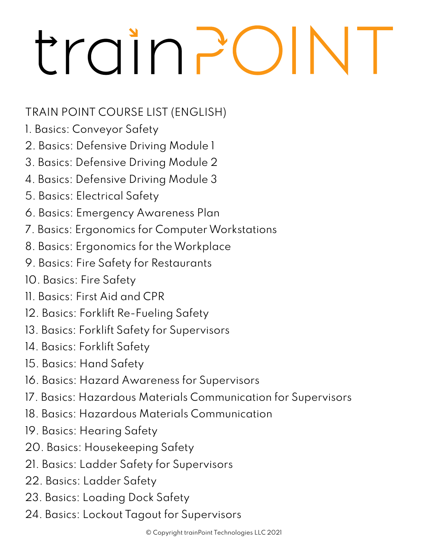## train?

## TRAIN POINT COURSE LIST (ENGLISH)

- 1. Basics: Conveyor Safety
- 2. Basics: Defensive Driving Module 1
- 3. Basics: Defensive Driving Module 2
- 4. Basics: Defensive Driving Module 3
- 5. Basics: Electrical Safety
- 6. Basics: Emergency Awareness Plan
- 7. Basics: Ergonomics for Computer Workstations
- 8. Basics: Ergonomics for the Workplace
- 9. Basics: Fire Safety for Restaurants
- 10. Basics: Fire Safety
- 11. Basics: First Aid and CPR
- 12. Basics: Forklift Re-Fueling Safety
- 13. Basics: Forklift Safety for Supervisors
- 14. Basics: Forklift Safety
- 15. Basics: Hand Safety
- 16. Basics: Hazard Awareness for Supervisors
- 17. Basics: Hazardous Materials Communication for Supervisors
- 18. Basics: Hazardous Materials Communication
- 19. Basics: Hearing Safety
- 20. Basics: Housekeeping Safety
- 21. Basics: Ladder Safety for Supervisors
- 22. Basics: Ladder Safety
- 23. Basics: Loading Dock Safety
- 24. Basics: Lockout Tagout for Supervisors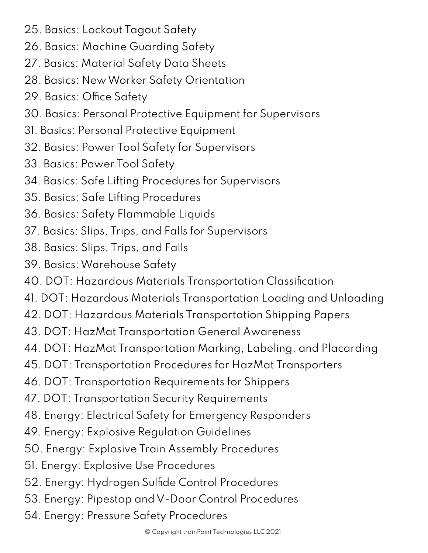- 25. Basics: Lockout Tagout Safety
- 26. Basics: Machine Guarding Safety
- 27. Basics: Material Safety Data Sheets
- 28. Basics: New Worker Safety Orientation
- 29. Basics: Office Safety
- 30. Basics: Personal Protective Equipment for Supervisors
- 31. Basics: Personal Protective Equipment
- 32. Basics: Power Tool Safety for Supervisors
- 33. Basics: Power Tool Safety
- 34. Basics: Safe Lifting Procedures for Supervisors
- 35. Basics: Safe Lifting Procedures
- 36. Basics: Safety Flammable Liquids
- 37. Basics: Slips, Trips, and Falls for Supervisors
- 38. Basics: Slips, Trips, and Falls
- 39. Basics: Warehouse Safety
- 40. DOT: Hazardous Materials Transportation Classification
- 41. DOT: Hazardous Materials Transportation Loading and Unloading
- 42. DOT: Hazardous Materials Transportation Shipping Papers
- 43. DOT: HazMat Transportation General Awareness
- 44. DOT: HazMat Transportation Marking, Labeling, and Placarding
- 45. DOT: Transportation Procedures for HazMat Transporters
- 46. DOT: Transportation Requirements for Shippers
- 47. DOT: Transportation Security Requirements
- 48. Energy: Electrical Safety for Emergency Responders
- 49. Energy: Explosive Regulation Guidelines
- 50. Energy: Explosive Train Assembly Procedures
- 51. Energy: Explosive Use Procedures
- 52. Energy: Hydrogen Sulfide Control Procedures
- 53. Energy: Pipestop and V-Door Control Procedures
- 54. Energy: Pressure Safety Procedures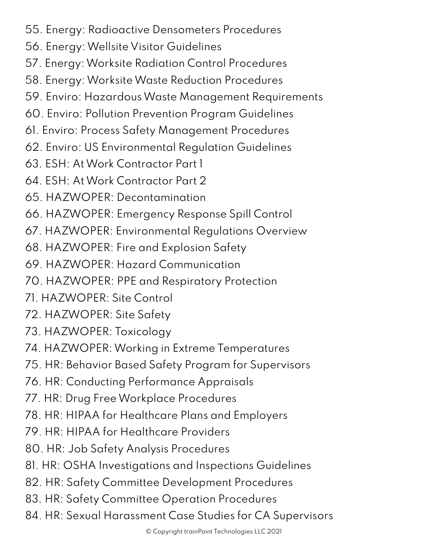- 55. Energy: Radioactive Densometers Procedures
- 56. Energy: Wellsite Visitor Guidelines
- 57. Energy: Worksite Radiation Control Procedures
- 58. Energy: Worksite Waste Reduction Procedures
- 59. Enviro: Hazardous Waste Management Requirements
- 60. Enviro: Pollution Prevention Program Guidelines
- 61. Enviro: Process Safety Management Procedures
- 62. Enviro: US Environmental Regulation Guidelines
- 63. ESH: At Work Contractor Part 1
- 64. ESH: At Work Contractor Part 2
- 65. HAZWOPER: Decontamination
- 66. HAZWOPER: Emergency Response Spill Control
- 67. HAZWOPER: Environmental Regulations Overview
- 68. HAZWOPER: Fire and Explosion Safety
- 69. HAZWOPER: Hazard Communication
- 70. HAZWOPER: PPE and Respiratory Protection
- 71. HAZWOPER: Site Control
- 72. HAZWOPER: Site Safety
- 73. HAZWOPER: Toxicology
- 74. HAZWOPER: Working in Extreme Temperatures
- 75. HR: Behavior Based Safety Program for Supervisors
- 76. HR: Conducting Performance Appraisals
- 77. HR: Drug Free Workplace Procedures
- 78. HR: HIPAA for Healthcare Plans and Employers
- 79. HR: HIPAA for Healthcare Providers
- 80. HR: Job Safety Analysis Procedures
- 81. HR: OSHA Investigations and Inspections Guidelines
- 82. HR: Safety Committee Development Procedures
- 83. HR: Safety Committee Operation Procedures
- 84. HR: Sexual Harassment Case Studies for CA Supervisors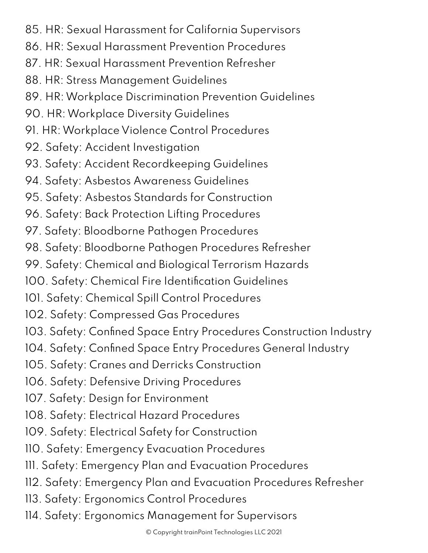- 85. HR: Sexual Harassment for California Supervisors
- 86. HR: Sexual Harassment Prevention Procedures
- 87. HR: Sexual Harassment Prevention Refresher
- 88. HR: Stress Management Guidelines
- 89. HR: Workplace Discrimination Prevention Guidelines
- 90. HR: Workplace Diversity Guidelines
- 91. HR: Workplace Violence Control Procedures
- 92. Safety: Accident Investigation
- 93. Safety: Accident Recordkeeping Guidelines
- 94. Safety: Asbestos Awareness Guidelines
- 95. Safety: Asbestos Standards for Construction
- 96. Safety: Back Protection Lifting Procedures
- 97. Safety: Bloodborne Pathogen Procedures
- 98. Safety: Bloodborne Pathogen Procedures Refresher
- 99. Safety: Chemical and Biological Terrorism Hazards
- 100. Safety: Chemical Fire Identification Guidelines
- 101. Safety: Chemical Spill Control Procedures
- 102. Safety: Compressed Gas Procedures
- 103. Safety: Confined Space Entry Procedures Construction Industry
- 104. Safety: Confined Space Entry Procedures General Industry
- 105. Safety: Cranes and Derricks Construction
- 106. Safety: Defensive Driving Procedures
- 107. Safety: Design for Environment
- 108. Safety: Electrical Hazard Procedures
- 109. Safety: Electrical Safety for Construction
- 110. Safety: Emergency Evacuation Procedures
- 111. Safety: Emergency Plan and Evacuation Procedures
- 112. Safety: Emergency Plan and Evacuation Procedures Refresher
- 113. Safety: Ergonomics Control Procedures
- 114. Safety: Ergonomics Management for Supervisors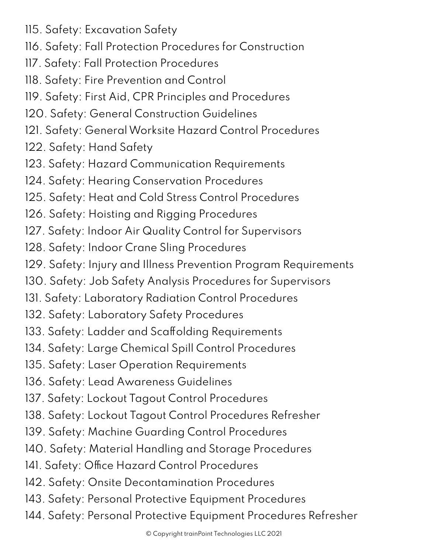- 115. Safety: Excavation Safety
- 116. Safety: Fall Protection Procedures for Construction
- 117. Safety: Fall Protection Procedures
- 118. Safety: Fire Prevention and Control
- 119. Safety: First Aid, CPR Principles and Procedures
- 120. Safety: General Construction Guidelines
- 121. Safety: General Worksite Hazard Control Procedures
- 122. Safety: Hand Safety
- 123. Safety: Hazard Communication Requirements
- 124. Safety: Hearing Conservation Procedures
- 125. Safety: Heat and Cold Stress Control Procedures
- 126. Safety: Hoisting and Rigging Procedures
- 127. Safety: Indoor Air Quality Control for Supervisors
- 128. Safety: Indoor Crane Sling Procedures
- 129. Safety: Injury and Illness Prevention Program Requirements
- 130. Safety: Job Safety Analysis Procedures for Supervisors
- 131. Safety: Laboratory Radiation Control Procedures
- 132. Safety: Laboratory Safety Procedures
- 133. Safety: Ladder and Scaffolding Requirements
- 134. Safety: Large Chemical Spill Control Procedures
- 135. Safety: Laser Operation Requirements
- 136. Safety: Lead Awareness Guidelines
- 137. Safety: Lockout Tagout Control Procedures
- 138. Safety: Lockout Tagout Control Procedures Refresher
- 139. Safety: Machine Guarding Control Procedures
- 140. Safety: Material Handling and Storage Procedures
- 141. Safety: Office Hazard Control Procedures
- 142. Safety: Onsite Decontamination Procedures
- 143. Safety: Personal Protective Equipment Procedures
- 144. Safety: Personal Protective Equipment Procedures Refresher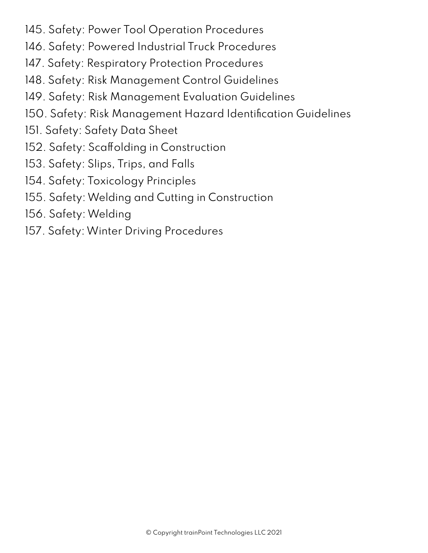- 145. Safety: Power Tool Operation Procedures
- 146. Safety: Powered Industrial Truck Procedures
- 147. Safety: Respiratory Protection Procedures
- 148. Safety: Risk Management Control Guidelines
- 149. Safety: Risk Management Evaluation Guidelines
- 150. Safety: Risk Management Hazard Identification Guidelines
- 151. Safety: Safety Data Sheet
- 152. Safety: Scaffolding in Construction
- 153. Safety: Slips, Trips, and Falls
- 154. Safety: Toxicology Principles
- 155. Safety: Welding and Cutting in Construction
- 156. Safety: Welding
- 157. Safety: Winter Driving Procedures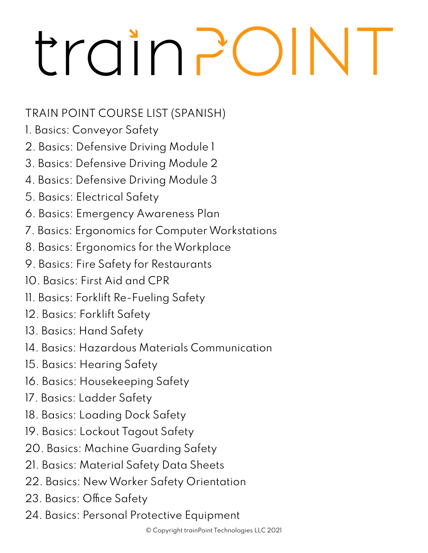## trainP  $\overline{\phantom{a}}$

## TRAIN POINT COURSE LIST (SPANISH)

- 1. Basics: Conveyor Safety
- 2. Basics: Defensive Driving Module 1
- 3. Basics: Defensive Driving Module 2
- 4. Basics: Defensive Driving Module 3
- 5. Basics: Electrical Safety
- 6. Basics: Emergency Awareness Plan
- 7. Basics: Ergonomics for Computer Workstations
- 8. Basics: Ergonomics for the Workplace
- 9. Basics: Fire Safety for Restaurants
- 10. Basics: First Aid and CPR
- 11. Basics: Forklift Re-Fueling Safety
- 12. Basics: Forklift Safety
- 13. Basics: Hand Safety
- 14. Basics: Hazardous Materials Communication
- 15. Basics: Hearing Safety
- 16. Basics: Housekeeping Safety
- 17. Basics: Ladder Safety
- 18. Basics: Loading Dock Safety
- 19. Basics: Lockout Tagout Safety
- 20. Basics: Machine Guarding Safety
- 21. Basics: Material Safety Data Sheets
- 22. Basics: New Worker Safety Orientation
- 23. Basics: Office Safety
- 24. Basics: Personal Protective Equipment